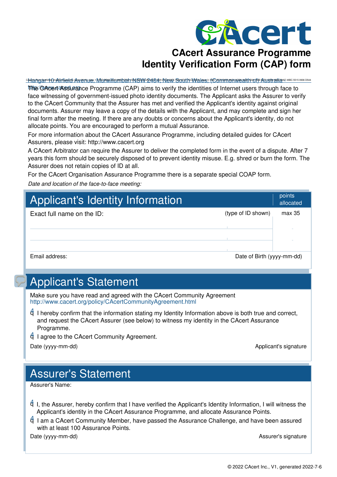

<u>બનભાજીભાળના તેમાણિના તેજણાય≎ા Menwilling altern M9MV P4B43 Mews GorithAMales: (Commnonwealthori): Anishalizin inconsideration</u>

http://www.cacert.org The CAcert Assurance Programme (CAP) aims to verify the iden[tities of Internet users through face to](http://www.cacert.org/capnew.php) face witnessing of government-issued photo identity documents. The Applicant asks the Assurer to verify to the CAcert Community that the Assurer has met and verified the Applicant's identity against original do[cuments. Assurer may leave a copy of the details with the Applicant, and may complete and sign her](http://www.cacert.org/index.php?id=3) final form after the meeting. If there are any doubts or concerns about the Applicant's identity, do not [allocate points. You are encouraged to perform a mutual Assurance.](http://www.cacert.org)

For more information about the CAcert Assurance Programme, including detailed guides for CAcert Assurers, please visit: http://www.cacert.org

A CAcert Arbitrator can require the Assurer to deliver the completed form in the event of a dispute. After 7 ye[ars this form should be securely disposed of to prevent identity misuse. E.g. shred or burn the form. The](http://wiki.cacert.org/wiki/FAQ/AssuranceIntroduction) Assurer does not retain copies of ID at all.

For the CAcert Organisation Assurance Programme there is a separate special COAP form.

*Date and location of the face-to-face meeting:* 

| <b>Applicant's Identity Information</b> |                            | points<br>allocated |
|-----------------------------------------|----------------------------|---------------------|
| Exact full name on the ID:              | (type of ID shown)         | max 35              |
| Email address:                          | Date of Birth (yyyy-mm-dd) |                     |

## Applicant's Statement

Make sure you have read and agreed with the CAcert Community Agreement http://www.cacert.org/policy/CAcertCommunityAgreement.html

■ I hereby confirm that the information stating my Identity Information above is both true and correct, and request the CAcert Assurer (see below) to witness my identity in the CAcert Assurance Programme.

■ I agree to the CAcert Community Agreement.

Date (yyyy-mm-dd) and the control of the control of the control of the control of the control of the control of the control of the control of the control of the control of the control of the control of the control of the c

## Assurer's Statement

Assurer's Name:

❑ ✔ I, the Assurer, hereby confirm that I have verified the Applicant's Identity Information, I will witness the Applicant's identity in the CAcert Assurance Programme, and allocate Assurance Points.

■ I [am a CAcert Community Member, have passed the Assurance Challenge, and have been assured](http://www.cacert.org/policy/CAcertCommunityAgreement.html) with at least 100 Assurance Points.

Date (yyyy-mm-dd) and the state of the state of the state of the state of the SSS and the SSS and the SSS and the SSS and the SSS and the SSS and the SSS and the SSS and the SSS and the SSS and the SSS and the SSS and the